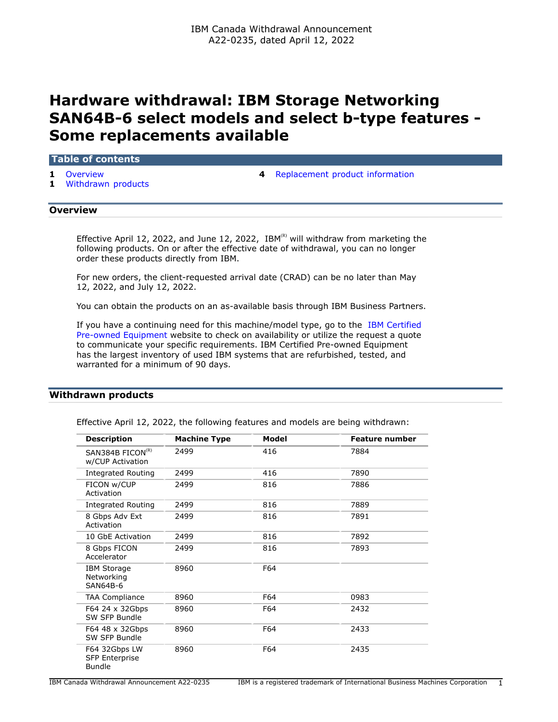# **Hardware withdrawal: IBM Storage Networking SAN64B-6 select models and select b-type features - Some replacements available**

#### **Table of contents**

- 
- **1** [Withdrawn products](#page-0-1)
- **1** [Overview](#page-0-0) **4** [Replacement product information](#page-3-0)

# <span id="page-0-0"></span>**Overview**

Effective April 12, 2022, and June 12, 2022, IBM<sup>(R)</sup> will withdraw from marketing the following products. On or after the effective date of withdrawal, you can no longer order these products directly from IBM.

For new orders, the client-requested arrival date (CRAD) can be no later than May 12, 2022, and July 12, 2022.

You can obtain the products on an as-available basis through IBM Business Partners.

If you have a continuing need for this machine/model type, go to the [IBM Certified](https://www.ibm.com/financing/pre-owned/ibm-certified-used-equipment) [Pre-owned Equipment](https://www.ibm.com/financing/pre-owned/ibm-certified-used-equipment) website to check on availability or utilize the request a quote to communicate your specific requirements. IBM Certified Pre-owned Equipment has the largest inventory of used IBM systems that are refurbished, tested, and warranted for a minimum of 90 days.

## <span id="page-0-1"></span>**Withdrawn products**

|  | Effective April 12, 2022, the following features and models are being withdrawn: |  |  |
|--|----------------------------------------------------------------------------------|--|--|
|  |                                                                                  |  |  |

| <b>Description</b>                                  | <b>Machine Type</b> | Model | <b>Feature number</b> |
|-----------------------------------------------------|---------------------|-------|-----------------------|
| SAN384B FICON <sup>(R)</sup><br>w/CUP Activation    | 2499                | 416   | 7884                  |
| <b>Integrated Routing</b>                           | 2499                | 416   | 7890                  |
| FICON w/CUP<br>Activation                           | 2499                | 816   | 7886                  |
| <b>Integrated Routing</b>                           | 2499                | 816   | 7889                  |
| 8 Gbps Adv Ext<br>Activation                        | 2499                | 816   | 7891                  |
| 10 GbE Activation                                   | 2499                | 816   | 7892                  |
| 8 Gbps FICON<br>Accelerator                         | 2499                | 816   | 7893                  |
| <b>IBM Storage</b><br>Networking<br><b>SAN64B-6</b> | 8960                | F64   |                       |
| <b>TAA Compliance</b>                               | 8960                | F64   | 0983                  |
| F64 24 x 32Gbps<br>SW SFP Bundle                    | 8960                | F64   | 2432                  |
| F64 48 x 32Gbps<br>SW SFP Bundle                    | 8960                | F64   | 2433                  |
| F64 32Gbps LW<br><b>SFP Enterprise</b><br>Bundle    | 8960                | F64   | 2435                  |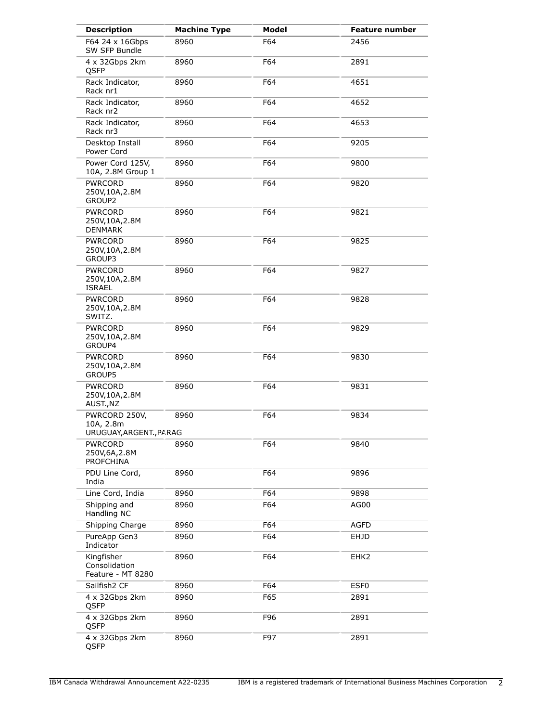| <b>Description</b>                                    | <b>Machine Type</b> | Model | <b>Feature number</b> |
|-------------------------------------------------------|---------------------|-------|-----------------------|
| F64 24 x 16Gbps<br>SW SFP Bundle                      | 8960                | F64   | 2456                  |
| 4 x 32Gbps 2km<br>QSFP                                | 8960                | F64   | 2891                  |
| Rack Indicator,<br>Rack nr1                           | 8960                | F64   | 4651                  |
| Rack Indicator,<br>Rack nr2                           | 8960                | F64   | 4652                  |
| Rack Indicator,<br>Rack nr3                           | 8960                | F64   | 4653                  |
| Desktop Install<br>Power Cord                         | 8960                | F64   | 9205                  |
| Power Cord 125V,<br>10A, 2.8M Group 1                 | 8960                | F64   | 9800                  |
| <b>PWRCORD</b><br>250V,10A,2.8M<br>GROUP2             | 8960                | F64   | 9820                  |
| <b>PWRCORD</b><br>250V,10A,2.8M<br><b>DENMARK</b>     | 8960                | F64   | 9821                  |
| <b>PWRCORD</b><br>250V,10A,2.8M<br>GROUP3             | 8960                | F64   | 9825                  |
| <b>PWRCORD</b><br>250V,10A,2.8M<br><b>ISRAEL</b>      | 8960                | F64   | 9827                  |
| <b>PWRCORD</b><br>250V,10A,2.8M<br>SWITZ.             | 8960                | F64   | 9828                  |
| <b>PWRCORD</b><br>250V,10A,2.8M<br>GROUP4             | 8960                | F64   | 9829                  |
| <b>PWRCORD</b><br>250V,10A,2.8M<br>GROUP5             | 8960                | F64   | 9830                  |
| <b>PWRCORD</b><br>250V,10A,2.8M<br>AUST., NZ          | 8960                | F64   | 9831                  |
| PWRCORD 250V,<br>10A, 2.8m<br>URUGUAY, ARGENT., PARAG | 8960                | F64   | 9834                  |
| <b>PWRCORD</b><br>250V,6A,2.8M<br>PROFCHINA           | 8960                | F64   | 9840                  |
| PDU Line Cord,<br>India                               | 8960                | F64   | 9896                  |
| Line Cord, India                                      | 8960                | F64   | 9898                  |
| Shipping and<br>Handling NC                           | 8960                | F64   | AG00                  |
| Shipping Charge                                       | 8960                | F64   | <b>AGFD</b>           |
| PureApp Gen3<br>Indicator                             | 8960                | F64   | <b>EHJD</b>           |
| Kingfisher<br>Consolidation<br>Feature - MT 8280      | 8960                | F64   | EHK <sub>2</sub>      |
| Sailfish <sub>2</sub> CF                              | 8960                | F64   | ESF <sub>0</sub>      |
| 4 x 32Gbps 2km<br>QSFP                                | 8960                | F65   | 2891                  |
| 4 x 32Gbps 2km<br>QSFP                                | 8960                | F96   | 2891                  |
| 4 x 32Gbps 2km<br>QSFP                                | 8960                | F97   | 2891                  |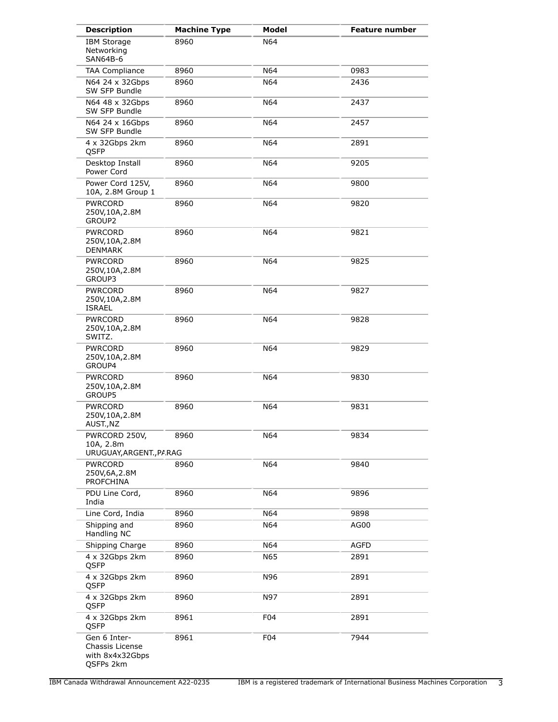| <b>Description</b>                                              | <b>Machine Type</b> | <b>Model</b>    | <b>Feature number</b> |
|-----------------------------------------------------------------|---------------------|-----------------|-----------------------|
| <b>IBM Storage</b><br>Networking<br>SAN64B-6                    | 8960                | N64             |                       |
| <b>TAA Compliance</b>                                           | 8960                | N64             | 0983                  |
| N64 24 x 32Gbps<br>SW SFP Bundle                                | 8960                | N64             | 2436                  |
| N64 48 x 32Gbps<br>SW SFP Bundle                                | 8960                | N64             | 2437                  |
| N64 24 x 16Gbps<br>SW SFP Bundle                                | 8960                | N64             | 2457                  |
| 4 x 32Gbps 2km<br>QSFP                                          | 8960                | N64             | 2891                  |
| Desktop Install<br>Power Cord                                   | 8960                | N64             | 9205                  |
| Power Cord 125V,<br>10A, 2.8M Group 1                           | 8960                | N64             | 9800                  |
| <b>PWRCORD</b><br>250V,10A,2.8M<br>GROUP2                       | 8960                | N64             | 9820                  |
| <b>PWRCORD</b><br>250V, 10A, 2.8M<br><b>DENMARK</b>             | 8960                | N64             | 9821                  |
| PWRCORD<br>250V,10A,2.8M<br>GROUP3                              | 8960                | N64             | 9825                  |
| <b>PWRCORD</b><br>250V,10A,2.8M<br><b>ISRAEL</b>                | 8960                | N64             | 9827                  |
| <b>PWRCORD</b><br>250V,10A,2.8M<br>SWITZ.                       | 8960                | N64             | 9828                  |
| <b>PWRCORD</b><br>250V,10A,2.8M<br>GROUP4                       | 8960                | N64             | 9829                  |
| <b>PWRCORD</b><br>250V, 10A, 2.8M<br>GROUP5                     | 8960                | N64             | 9830                  |
| <b>PWRCORD</b><br>250V,10A,2.8M<br>AUST., NZ                    | 8960                | N64             | 9831                  |
| PWRCORD 250V,<br>10A, 2.8m<br>URUGUAY, ARGENT., PARAG           | 8960                | N64             | 9834                  |
| <b>PWRCORD</b><br>250V,6A,2.8M<br><b>PROFCHINA</b>              | 8960                | N64             | 9840                  |
| PDU Line Cord,<br>India                                         | 8960                | N64             | 9896                  |
| Line Cord, India                                                | 8960                | N64             | 9898                  |
| Shipping and<br>Handling NC                                     | 8960                | N64             | AG00                  |
| Shipping Charge                                                 | 8960                | N64             | <b>AGFD</b>           |
| 4 x 32Gbps 2km<br>QSFP                                          | 8960                | N65             | 2891                  |
| 4 x 32Gbps 2km<br>QSFP                                          | 8960                | N96             | 2891                  |
| 4 x 32Gbps 2km<br>QSFP                                          | 8960                | N97             | 2891                  |
| 4 x 32Gbps 2km<br>QSFP                                          | 8961                | F <sub>04</sub> | 2891                  |
| Gen 6 Inter-<br>Chassis License<br>with 8x4x32Gbps<br>QSFPs 2km | 8961                | F04             | 7944                  |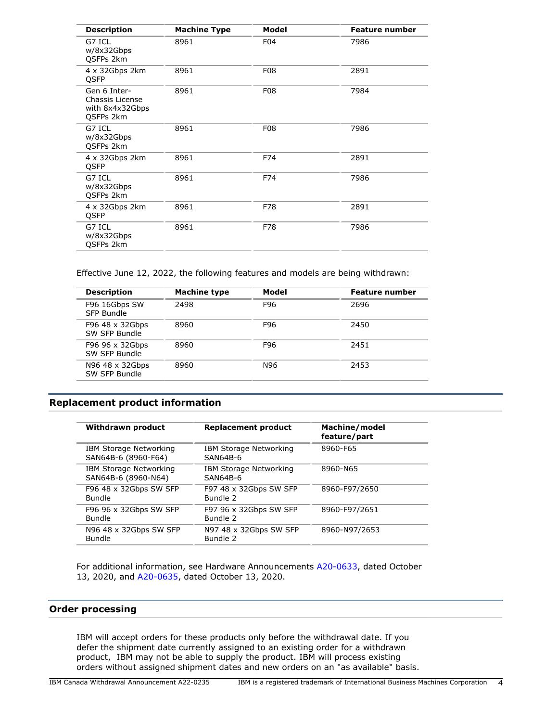| <b>Description</b>                                                     | <b>Machine Type</b> | Model      | <b>Feature number</b> |
|------------------------------------------------------------------------|---------------------|------------|-----------------------|
| G7 ICL<br>w/8x32Gbps<br>QSFPs 2km                                      | 8961                | F04        | 7986                  |
| 4 x 32Gbps 2km<br>QSFP                                                 | 8961                | <b>F08</b> | 2891                  |
| Gen 6 Inter-<br>Chassis License<br>with 8x4x32Gbps<br><b>OSFPs 2km</b> | 8961                | <b>F08</b> | 7984                  |
| G7 ICL<br>w/8x32Gbps<br><b>OSFPs 2km</b>                               | 8961                | <b>F08</b> | 7986                  |
| 4 x 32Gbps 2km<br><b>OSFP</b>                                          | 8961                | F74        | 2891                  |
| G7 ICL<br>w/8x32Gbps<br><b>OSFPs 2km</b>                               | 8961                | F74        | 7986                  |
| 4 x 32Gbps 2km<br>QSFP                                                 | 8961                | F78        | 2891                  |
| G7 ICL<br>w/8x32Gbps<br><b>OSFPs 2km</b>                               | 8961                | F78        | 7986                  |

Effective June 12, 2022, the following features and models are being withdrawn:

| <b>Description</b>               | <b>Machine type</b> | Model | <b>Feature number</b> |
|----------------------------------|---------------------|-------|-----------------------|
| F96 16Gbps SW<br>SFP Bundle      | 2498                | F96   | 2696                  |
| F96 48 x 32Gbps<br>SW SFP Bundle | 8960                | F96   | 2450                  |
| F96 96 x 32Gbps<br>SW SFP Bundle | 8960                | F96   | 2451                  |
| N96 48 x 32Gbps<br>SW SFP Bundle | 8960                | N96   | 2453                  |
|                                  |                     |       |                       |

# <span id="page-3-0"></span>**Replacement product information**

| Withdrawn product                             | <b>Replacement product</b>                | Machine/model<br>feature/part |
|-----------------------------------------------|-------------------------------------------|-------------------------------|
| IBM Storage Networking<br>SAN64B-6 (8960-F64) | IBM Storage Networking<br>SAN64B-6        | 8960-F65                      |
| IBM Storage Networking<br>SAN64B-6 (8960-N64) | <b>IBM Storage Networking</b><br>SAN64B-6 | 8960-N65                      |
| F96 48 x 32Gbps SW SFP<br>Bundle              | F97 48 x 32Gbps SW SFP<br>Bundle 2        | 8960-F97/2650                 |
| F96 96 x 32Gbps SW SFP<br>Bundle              | F97 96 x 32Gbps SW SFP<br>Bundle 2        | 8960-F97/2651                 |
| N96 48 x 32Gbps SW SFP<br>Bundle              | N97 48 x 32Gbps SW SFP<br>Bundle 2        | 8960-N97/2653                 |

For additional information, see Hardware Announcements [A20-0633](http://www.ibm.com/common/ssi/cgi-bin/ssialias?infotype=an&subtype=ca&appname=gpateam&supplier=649&letternum=ENUSA20-0633), dated October 13, 2020, and [A20-0635,](http://www.ibm.com/common/ssi/cgi-bin/ssialias?infotype=an&subtype=ca&appname=gpateam&supplier=649&letternum=ENUSA20-0635) dated October 13, 2020.

# **Order processing**

IBM will accept orders for these products only before the withdrawal date. If you defer the shipment date currently assigned to an existing order for a withdrawn product, IBM may not be able to supply the product. IBM will process existing orders without assigned shipment dates and new orders on an "as available" basis.